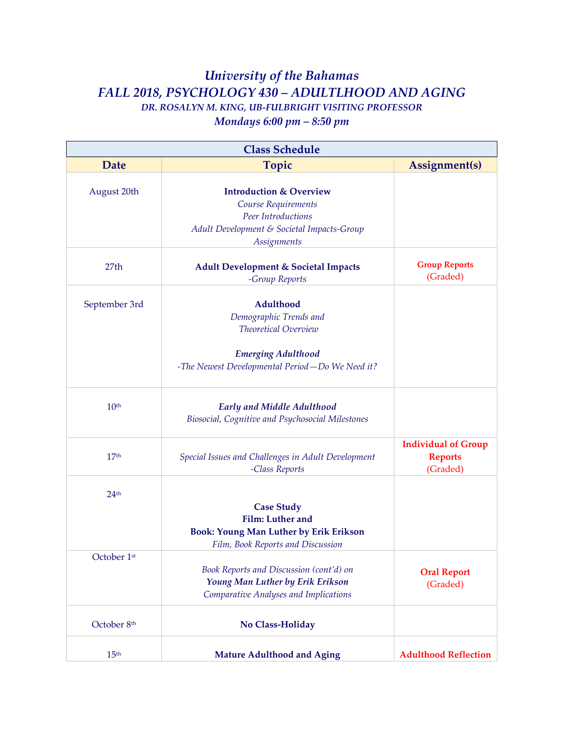## *University of the Bahamas FALL 2018, PSYCHOLOGY 430 – ADULTLHOOD AND AGING DR. ROSALYN M. KING, UB-FULBRIGHT VISITING PROFESSOR*

*Mondays 6:00 pm – 8:50 pm*

| <b>Class Schedule</b> |                                                    |                                |
|-----------------------|----------------------------------------------------|--------------------------------|
| Date                  | <b>Topic</b>                                       | Assignment(s)                  |
|                       |                                                    |                                |
| August 20th           | <b>Introduction &amp; Overview</b>                 |                                |
|                       | Course Requirements<br>Peer Introductions          |                                |
|                       | Adult Development & Societal Impacts-Group         |                                |
|                       | Assignments                                        |                                |
|                       |                                                    |                                |
| 27 <sub>th</sub>      | <b>Adult Development &amp; Societal Impacts</b>    | <b>Group Reports</b>           |
|                       | -Group Reports                                     | (Graded)                       |
|                       |                                                    |                                |
| September 3rd         | Adulthood                                          |                                |
|                       | Demographic Trends and                             |                                |
|                       | Theoretical Overview                               |                                |
|                       | <b>Emerging Adulthood</b>                          |                                |
|                       | -The Newest Developmental Period-Do We Need it?    |                                |
|                       |                                                    |                                |
| 10 <sup>th</sup>      | <b>Early and Middle Adulthood</b>                  |                                |
|                       | Biosocial, Cognitive and Psychosocial Milestones   |                                |
|                       |                                                    |                                |
|                       |                                                    | <b>Individual of Group</b>     |
| 17 <sup>th</sup>      | Special Issues and Challenges in Adult Development | <b>Reports</b>                 |
|                       | -Class Reports                                     | (Graded)                       |
|                       |                                                    |                                |
| 24 <sup>th</sup>      | <b>Case Study</b>                                  |                                |
|                       | <b>Film:</b> Luther and                            |                                |
|                       | <b>Book: Young Man Luther by Erik Erikson</b>      |                                |
|                       | Film, Book Reports and Discussion                  |                                |
| October 1st           |                                                    |                                |
|                       | Book Reports and Discussion (cont'd) on            |                                |
|                       | Young Man Luther by Erik Erikson                   | <b>Oral Report</b><br>(Graded) |
|                       | Comparative Analyses and Implications              |                                |
|                       |                                                    |                                |
| October 8th           | No Class-Holiday                                   |                                |
| 15 <sup>th</sup>      | <b>Mature Adulthood and Aging</b>                  | <b>Adulthood Reflection</b>    |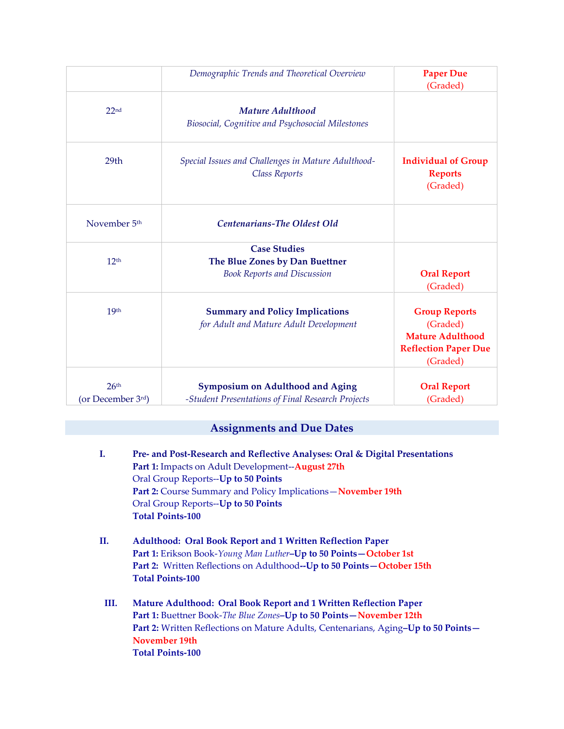|                                       | Demographic Trends and Theoretical Overview                                                  | <b>Paper Due</b><br>(Graded)                                                                           |
|---------------------------------------|----------------------------------------------------------------------------------------------|--------------------------------------------------------------------------------------------------------|
| 22 <sub>nd</sub>                      | Mature Adulthood<br>Biosocial, Cognitive and Psychosocial Milestones                         |                                                                                                        |
| 29 <sub>th</sub>                      | Special Issues and Challenges in Mature Adulthood-<br><b>Class Reports</b>                   | <b>Individual of Group</b><br><b>Reports</b><br>(Graded)                                               |
| November 5 <sup>th</sup>              | Centenarians-The Oldest Old                                                                  |                                                                                                        |
| 12 <sup>th</sup>                      | <b>Case Studies</b><br>The Blue Zones by Dan Buettner<br><b>Book Reports and Discussion</b>  | <b>Oral Report</b><br>(Graded)                                                                         |
| 19 <sub>th</sub>                      | <b>Summary and Policy Implications</b><br>for Adult and Mature Adult Development             | <b>Group Reports</b><br>(Graded)<br><b>Mature Adulthood</b><br><b>Reflection Paper Due</b><br>(Graded) |
| 26 <sup>th</sup><br>(or December 3rd) | <b>Symposium on Adulthood and Aging</b><br>-Student Presentations of Final Research Projects | <b>Oral Report</b><br>(Graded)                                                                         |

## **Assignments and Due Dates**

- **I. Pre- and Post-Research and Reflective Analyses: Oral & Digital Presentations Part 1:** Impacts on Adult Development--**August 27th** Oral Group Reports--**Up to 50 Points Part 2:** Course Summary and Policy Implications—**November 19th** Oral Group Reports--**Up to 50 Points Total Points-100**
- **II. Adulthood: Oral Book Report and 1 Written Reflection Paper Part 1:** Erikson Book-*Young Man Luther***–Up to 50 Points—October 1st Part 2:** Written Reflections on Adulthood**--Up to 50 Points—October 15th Total Points-100**
- **III. Mature Adulthood: Oral Book Report and 1 Written Reflection Paper Part 1:** Buettner Book-*The Blue Zones***–Up to 50 Points—November 12th Part 2:** Written Reflections on Mature Adults, Centenarians, Aging**–Up to 50 Points— November 19th Total Points-100**